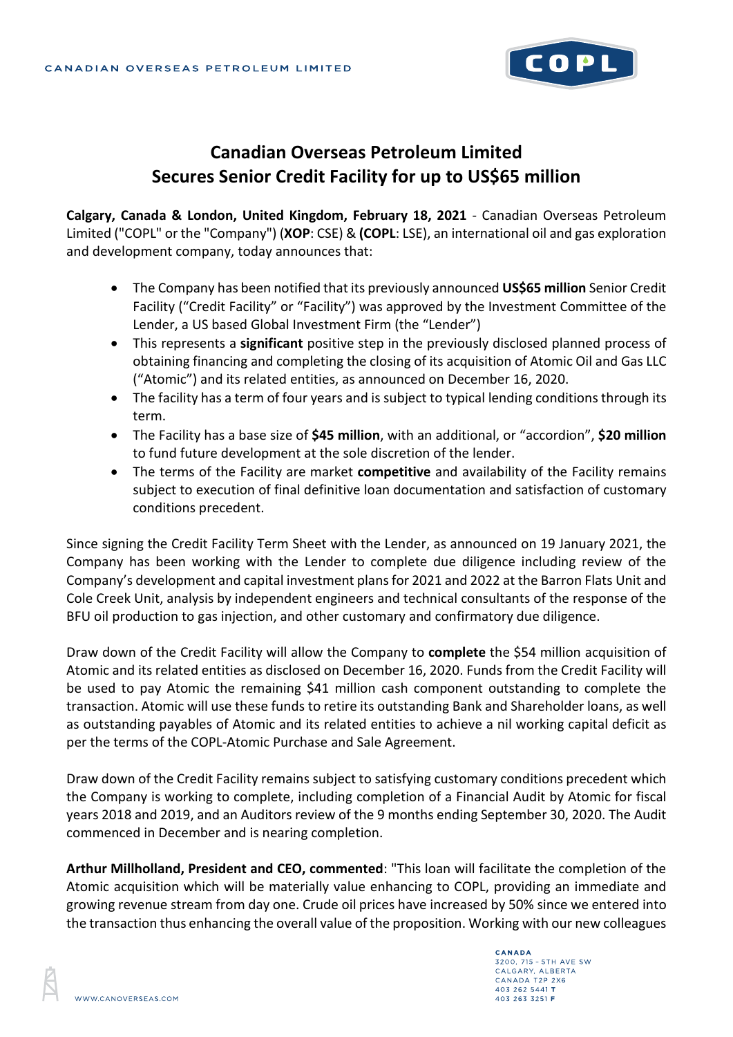

# **Canadian Overseas Petroleum Limited Secures Senior Credit Facility for up to US\$65 million**

**Calgary, Canada & London, United Kingdom, February 18, 2021** - Canadian Overseas Petroleum Limited ("COPL" or the "Company") (**XOP**: CSE) & **(COPL**: LSE), an international oil and gas exploration and development company, today announces that:

- The Company has been notified that its previously announced **US\$65 million** Senior Credit Facility ("Credit Facility" or "Facility") was approved by the Investment Committee of the Lender, a US based Global Investment Firm (the "Lender")
- This represents a **significant** positive step in the previously disclosed planned process of obtaining financing and completing the closing of its acquisition of Atomic Oil and Gas LLC ("Atomic") and its related entities, as announced on December 16, 2020.
- The facility has a term of four years and is subject to typical lending conditions through its term.
- The Facility has a base size of **\$45 million**, with an additional, or "accordion", **\$20 million** to fund future development at the sole discretion of the lender.
- The terms of the Facility are market **competitive** and availability of the Facility remains subject to execution of final definitive loan documentation and satisfaction of customary conditions precedent.

Since signing the Credit Facility Term Sheet with the Lender, as announced on 19 January 2021, the Company has been working with the Lender to complete due diligence including review of the Company's development and capital investment plans for 2021 and 2022 at the Barron Flats Unit and Cole Creek Unit, analysis by independent engineers and technical consultants of the response of the BFU oil production to gas injection, and other customary and confirmatory due diligence.

Draw down of the Credit Facility will allow the Company to **complete** the \$54 million acquisition of Atomic and its related entities as disclosed on December 16, 2020. Funds from the Credit Facility will be used to pay Atomic the remaining \$41 million cash component outstanding to complete the transaction. Atomic will use these funds to retire its outstanding Bank and Shareholder loans, as well as outstanding payables of Atomic and its related entities to achieve a nil working capital deficit as per the terms of the COPL-Atomic Purchase and Sale Agreement.

Draw down of the Credit Facility remains subject to satisfying customary conditions precedent which the Company is working to complete, including completion of a Financial Audit by Atomic for fiscal years 2018 and 2019, and an Auditors review of the 9 months ending September 30, 2020. The Audit commenced in December and is nearing completion.

**Arthur Millholland, President and CEO, commented**: "This loan will facilitate the completion of the Atomic acquisition which will be materially value enhancing to COPL, providing an immediate and growing revenue stream from day one. Crude oil prices have increased by 50% since we entered into the transaction thus enhancing the overall value of the proposition. Working with our new colleagues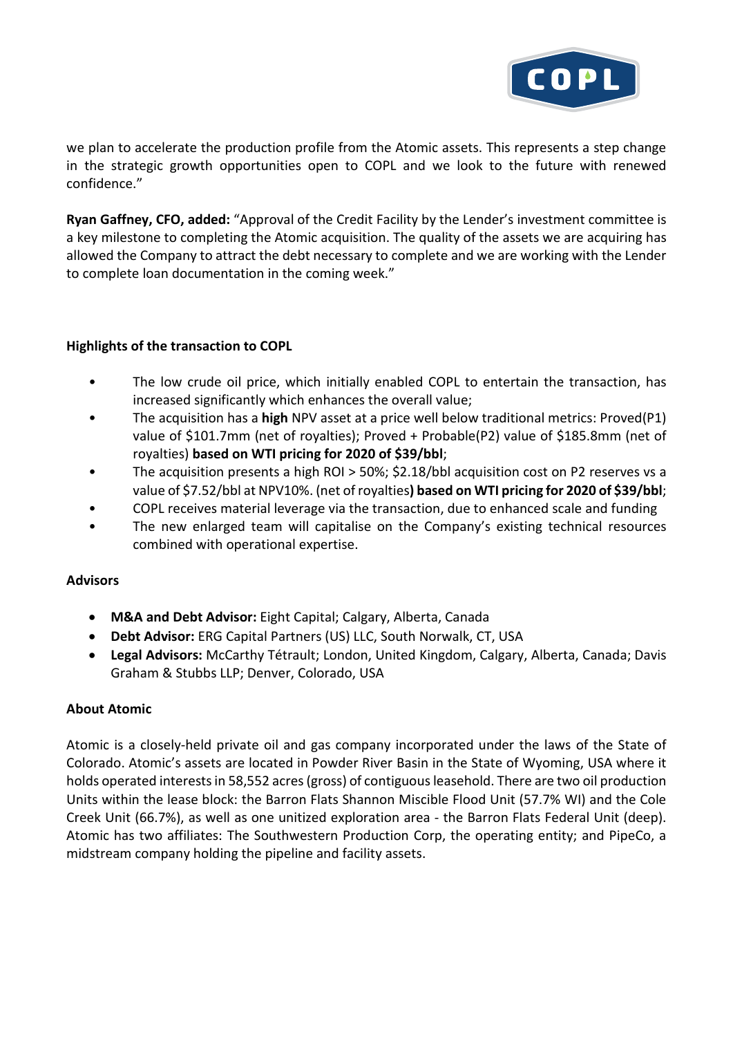

we plan to accelerate the production profile from the Atomic assets. This represents a step change in the strategic growth opportunities open to COPL and we look to the future with renewed confidence."

**Ryan Gaffney, CFO, added:** "Approval of the Credit Facility by the Lender's investment committee is a key milestone to completing the Atomic acquisition. The quality of the assets we are acquiring has allowed the Company to attract the debt necessary to complete and we are working with the Lender to complete loan documentation in the coming week."

# **Highlights of the transaction to COPL**

- The low crude oil price, which initially enabled COPL to entertain the transaction, has increased significantly which enhances the overall value;
- The acquisition has a **high** NPV asset at a price well below traditional metrics: Proved(P1) value of \$101.7mm (net of royalties); Proved + Probable(P2) value of \$185.8mm (net of royalties) **based on WTI pricing for 2020 of \$39/bbl**;
- The acquisition presents a high ROI > 50%; \$2.18/bbl acquisition cost on P2 reserves vs a value of \$7.52/bbl at NPV10%. (net of royalties**) based on WTI pricing for 2020 of \$39/bbl**;
- COPL receives material leverage via the transaction, due to enhanced scale and funding
- The new enlarged team will capitalise on the Company's existing technical resources combined with operational expertise.

#### **Advisors**

- **M&A and Debt Advisor:** Eight Capital; Calgary, Alberta, Canada
- **Debt Advisor:** ERG Capital Partners (US) LLC, South Norwalk, CT, USA
- **Legal Advisors:** McCarthy Tétrault; London, United Kingdom, Calgary, Alberta, Canada; Davis Graham & Stubbs LLP; Denver, Colorado, USA

# **About Atomic**

Atomic is a closely-held private oil and gas company incorporated under the laws of the State of Colorado. Atomic's assets are located in Powder River Basin in the State of Wyoming, USA where it holds operated interests in 58,552 acres (gross) of contiguous leasehold. There are two oil production Units within the lease block: the Barron Flats Shannon Miscible Flood Unit (57.7% WI) and the Cole Creek Unit (66.7%), as well as one unitized exploration area - the Barron Flats Federal Unit (deep). Atomic has two affiliates: The Southwestern Production Corp, the operating entity; and PipeCo, a midstream company holding the pipeline and facility assets.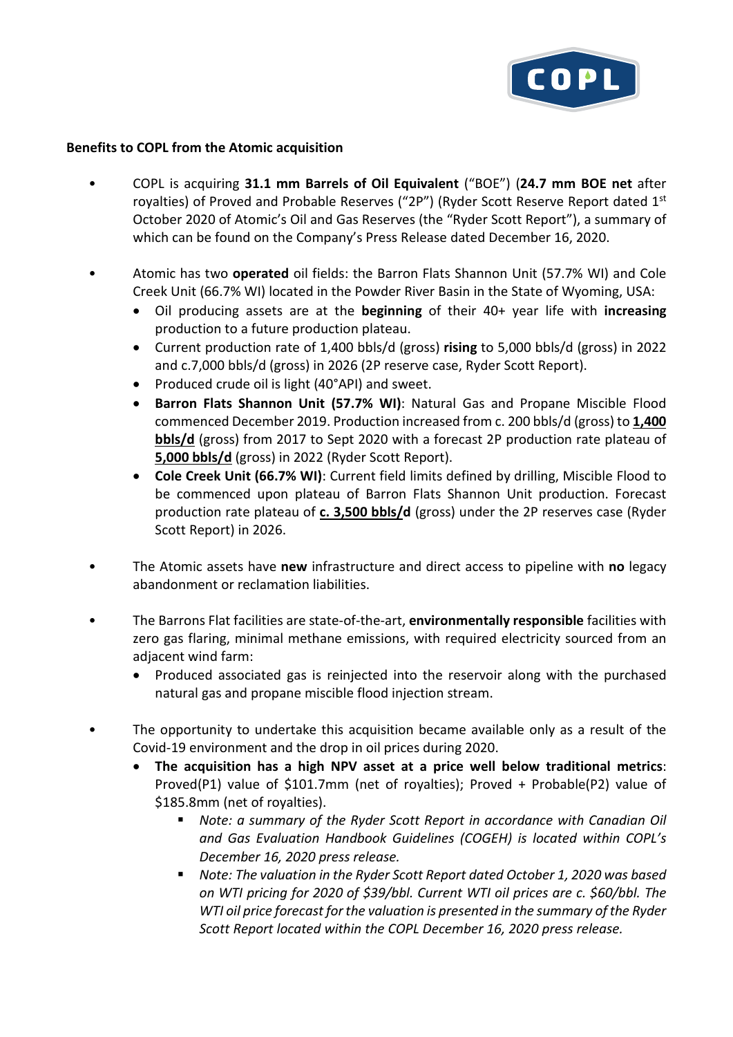

### **Benefits to COPL from the Atomic acquisition**

- COPL is acquiring **31.1 mm Barrels of Oil Equivalent** ("BOE") (**24.7 mm BOE net** after royalties) of Proved and Probable Reserves ("2P") (Ryder Scott Reserve Report dated 1st October 2020 of Atomic's Oil and Gas Reserves (the "Ryder Scott Report"), a summary of which can be found on the Company's Press Release dated December 16, 2020.
- Atomic has two **operated** oil fields: the Barron Flats Shannon Unit (57.7% WI) and Cole Creek Unit (66.7% WI) located in the Powder River Basin in the State of Wyoming, USA:
	- Oil producing assets are at the **beginning** of their 40+ year life with **increasing** production to a future production plateau.
	- Current production rate of 1,400 bbls/d (gross) **rising** to 5,000 bbls/d (gross) in 2022 and c.7,000 bbls/d (gross) in 2026 (2P reserve case, Ryder Scott Report).
	- Produced crude oil is light (40°API) and sweet.
	- **Barron Flats Shannon Unit (57.7% WI)**: Natural Gas and Propane Miscible Flood commenced December 2019. Production increased from c. 200 bbls/d (gross) to **1,400 bbls/d** (gross) from 2017 to Sept 2020 with a forecast 2P production rate plateau of **5,000 bbls/d** (gross) in 2022 (Ryder Scott Report).
	- **Cole Creek Unit (66.7% WI)**: Current field limits defined by drilling, Miscible Flood to be commenced upon plateau of Barron Flats Shannon Unit production. Forecast production rate plateau of **c. 3,500 bbls/d** (gross) under the 2P reserves case (Ryder Scott Report) in 2026.
- The Atomic assets have **new** infrastructure and direct access to pipeline with **no** legacy abandonment or reclamation liabilities.
- The Barrons Flat facilities are state-of-the-art, **environmentally responsible** facilities with zero gas flaring, minimal methane emissions, with required electricity sourced from an adjacent wind farm:
	- Produced associated gas is reinjected into the reservoir along with the purchased natural gas and propane miscible flood injection stream.
- The opportunity to undertake this acquisition became available only as a result of the Covid-19 environment and the drop in oil prices during 2020.
	- **The acquisition has a high NPV asset at a price well below traditional metrics**: Proved(P1) value of \$101.7mm (net of royalties); Proved + Probable(P2) value of \$185.8mm (net of royalties).
		- *Note: a summary of the Ryder Scott Report in accordance with Canadian Oil and Gas Evaluation Handbook Guidelines (COGEH) is located within COPL's December 16, 2020 press release.*
		- *Note: The valuation in the Ryder Scott Report dated October 1, 2020 was based on WTI pricing for 2020 of \$39/bbl. Current WTI oil prices are c. \$60/bbl. The WTI oil price forecast for the valuation is presented in the summary of the Ryder Scott Report located within the COPL December 16, 2020 press release.*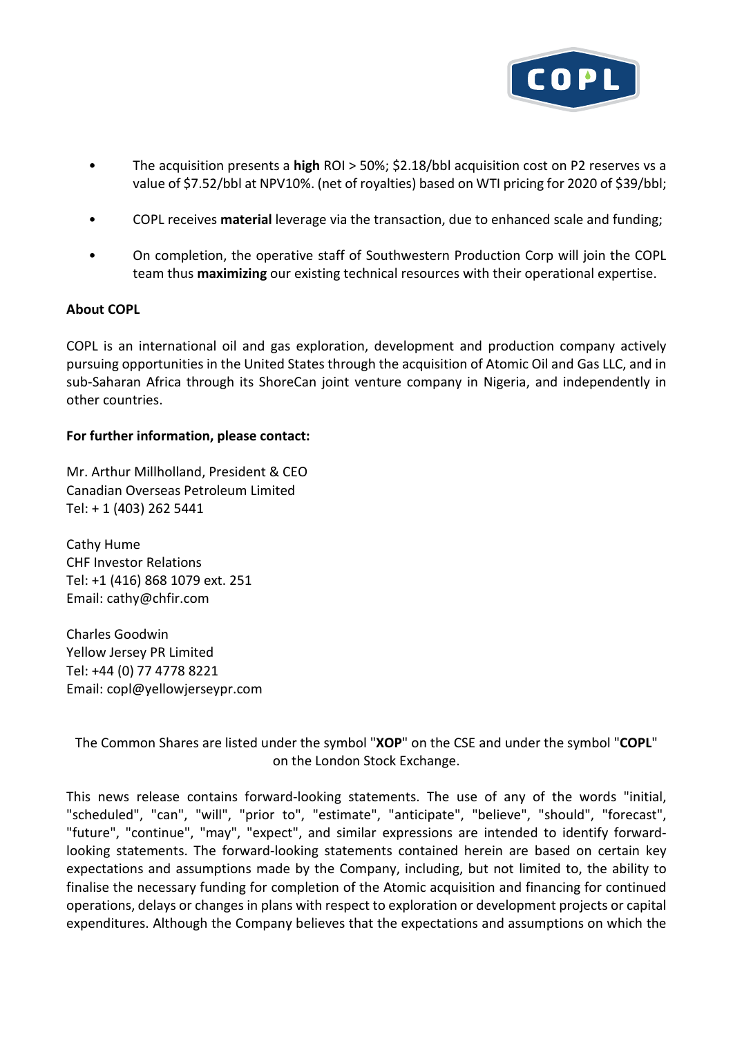

- The acquisition presents a **high** ROI > 50%; \$2.18/bbl acquisition cost on P2 reserves vs a value of \$7.52/bbl at NPV10%. (net of royalties) based on WTI pricing for 2020 of \$39/bbl;
- COPL receives **material** leverage via the transaction, due to enhanced scale and funding;
- On completion, the operative staff of Southwestern Production Corp will join the COPL team thus **maximizing** our existing technical resources with their operational expertise.

### **About COPL**

COPL is an international oil and gas exploration, development and production company actively pursuing opportunities in the United States through the acquisition of Atomic Oil and Gas LLC, and in sub-Saharan Africa through its ShoreCan joint venture company in Nigeria, and independently in other countries.

#### **For further information, please contact:**

Mr. Arthur Millholland, President & CEO Canadian Overseas Petroleum Limited Tel: + 1 (403) 262 5441

Cathy Hume CHF Investor Relations Tel: +1 (416) 868 1079 ext. 251 Email: cathy@chfir.com

Charles Goodwin Yellow Jersey PR Limited Tel: +44 (0) 77 4778 8221 Email: copl@yellowjerseypr.com

The Common Shares are listed under the symbol "**XOP**" on the CSE and under the symbol "**COPL**" on the London Stock Exchange.

This news release contains forward-looking statements. The use of any of the words "initial, "scheduled", "can", "will", "prior to", "estimate", "anticipate", "believe", "should", "forecast", "future", "continue", "may", "expect", and similar expressions are intended to identify forwardlooking statements. The forward-looking statements contained herein are based on certain key expectations and assumptions made by the Company, including, but not limited to, the ability to finalise the necessary funding for completion of the Atomic acquisition and financing for continued operations, delays or changes in plans with respect to exploration or development projects or capital expenditures. Although the Company believes that the expectations and assumptions on which the